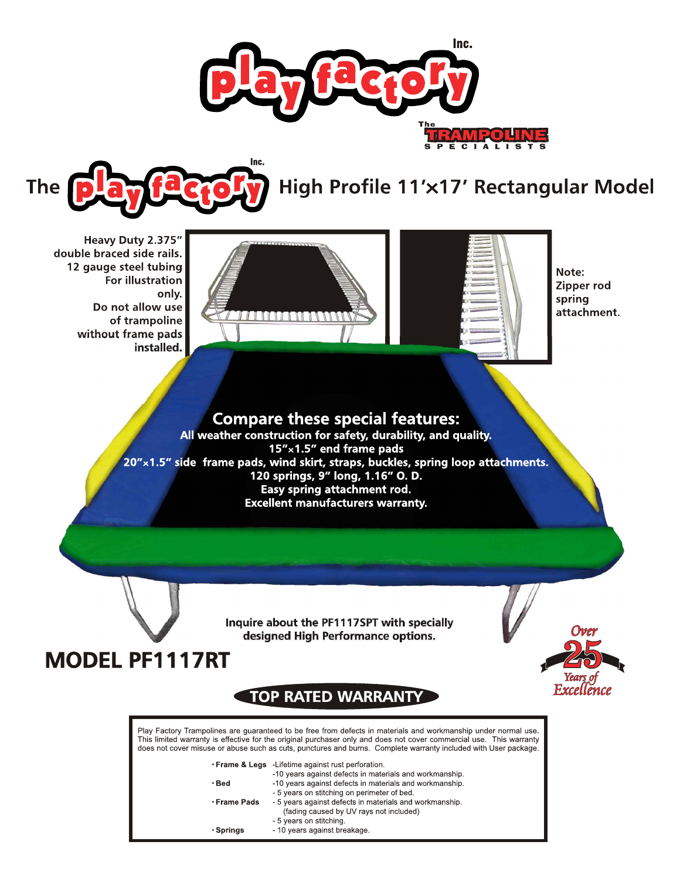



# High Profile 11'x17' Rectangular Model

Heavy Duty 2.375" double braced side rails. 12 gauge steel tubing For illustration only. Do not allow use of trampoline without frame pads installed.





Note: Zipper rod spring attachment.

Excellence

### **Compare these special features:**

All weather construction for safety, durability, and quality. 15"x1.5" end frame pads<br>20"x1.5" side frame pads, wind skirt, straps, buckles, spring loop attachments. 120 springs, 9" long, 1.16" O. D. Easy spring attachment rod. **Excellent manufacturers warranty.** 

> Inquire about the PF1117SPT with specially designed High Performance options.

## **MODEL PF1117RT**

## **TOP RATED WARRANTY**

Play Factory Trampolines are guaranteed to be free from defects in materials and workmanship under normal use. This limited warranty is effective for the original purchaser only and does not cover commercial use. This warranty does not cover misuse or abuse such as cuts, punctures and burns. Complete warranty included with User package.

| • Frame & Legs - Lifetime against rust perforation.                    |
|------------------------------------------------------------------------|
| A O see a complete at the factor for contradicts and complete analytic |

|                    | -10 years against defects in materials and workmanship. |
|--------------------|---------------------------------------------------------|
| • Bed              | -10 years against defects in materials and workmanship. |
|                    | - 5 years on stitching on perimeter of bed.             |
| <b>⋅Frame Pads</b> | - 5 years against defects in materials and workmanship. |
|                    | (fading caused by UV rays not included)                 |
|                    | - 5 years on stitching.                                 |
| • Springs          | - 10 years against breakage.                            |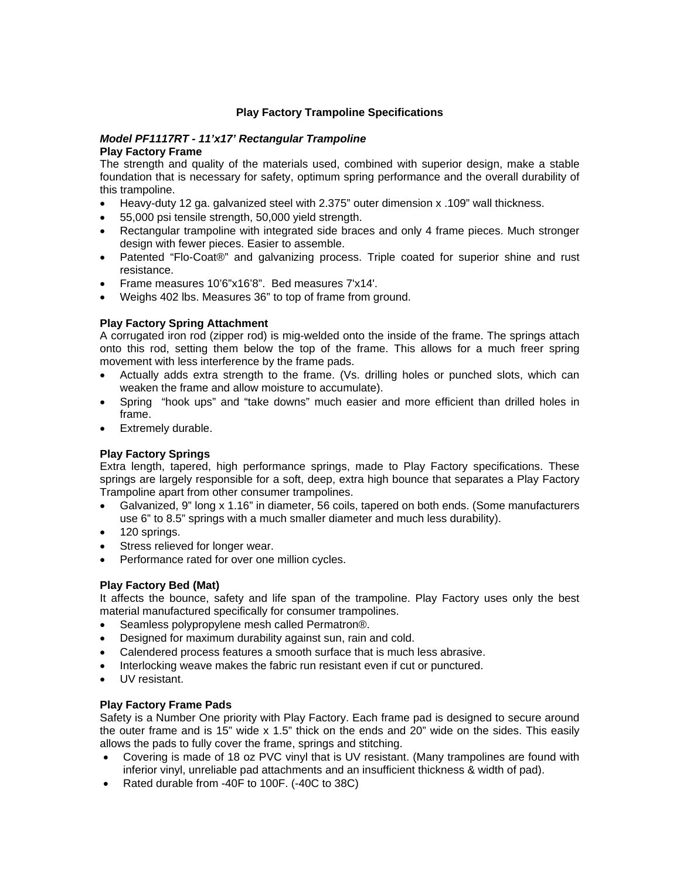#### **Play Factory Trampoline Specifications**

#### *Model PF1117RT - 11'x17' Rectangular Trampoline*  **Play Factory Frame**

The strength and quality of the materials used, combined with superior design, make a stable foundation that is necessary for safety, optimum spring performance and the overall durability of this trampoline.

- Heavy-duty 12 ga. galvanized steel with 2.375" outer dimension x .109" wall thickness.
- 55,000 psi tensile strength, 50,000 yield strength.
- Rectangular trampoline with integrated side braces and only 4 frame pieces. Much stronger design with fewer pieces. Easier to assemble.
- Patented "Flo-Coat®" and galvanizing process. Triple coated for superior shine and rust resistance.
- Frame measures 10'6"x16'8". Bed measures 7'x14'.
- Weighs 402 lbs. Measures 36" to top of frame from ground.

#### **Play Factory Spring Attachment**

A corrugated iron rod (zipper rod) is mig-welded onto the inside of the frame. The springs attach onto this rod, setting them below the top of the frame. This allows for a much freer spring movement with less interference by the frame pads.

- Actually adds extra strength to the frame. (Vs. drilling holes or punched slots, which can weaken the frame and allow moisture to accumulate).
- Spring "hook ups" and "take downs" much easier and more efficient than drilled holes in frame.
- Extremely durable.

#### **Play Factory Springs**

Extra length, tapered, high performance springs, made to Play Factory specifications. These springs are largely responsible for a soft, deep, extra high bounce that separates a Play Factory Trampoline apart from other consumer trampolines.

- Galvanized, 9" long x 1.16" in diameter, 56 coils, tapered on both ends. (Some manufacturers use 6" to 8.5" springs with a much smaller diameter and much less durability).
- 120 springs.
- Stress relieved for longer wear.
- Performance rated for over one million cycles.

#### **Play Factory Bed (Mat)**

It affects the bounce, safety and life span of the trampoline. Play Factory uses only the best material manufactured specifically for consumer trampolines.

- Seamless polypropylene mesh called Permatron®.
- Designed for maximum durability against sun, rain and cold.
- Calendered process features a smooth surface that is much less abrasive.
- Interlocking weave makes the fabric run resistant even if cut or punctured.
- UV resistant.

#### **Play Factory Frame Pads**

Safety is a Number One priority with Play Factory. Each frame pad is designed to secure around the outer frame and is 15" wide x 1.5" thick on the ends and 20" wide on the sides. This easily allows the pads to fully cover the frame, springs and stitching.

- Covering is made of 18 oz PVC vinyl that is UV resistant. (Many trampolines are found with inferior vinyl, unreliable pad attachments and an insufficient thickness & width of pad).
- Rated durable from -40F to 100F. (-40C to 38C)